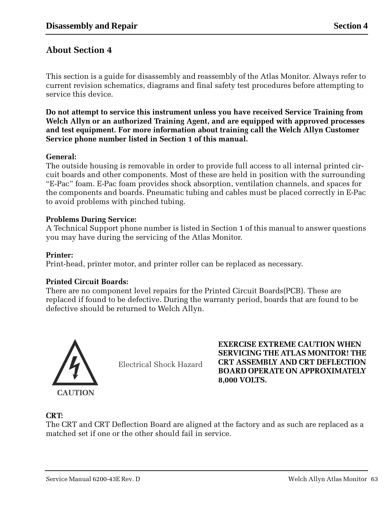## **About Section 4**

This section is a guide for disassembly and reassembly of the Atlas Monitor. Always refer to current revision schematics, diagrams and final safety test procedures before attempting to service this device.

**Do not attempt to service this instrument unless you have received Service Training from Welch Allyn or an authorized Training Agent, and are equipped with approved processes and test equipment. For more information about training call the Welch Allyn Customer Service phone number listed in Section 1 of this manual.**

### **General:**

The outside housing is removable in order to provide full access to all internal printed circuit boards and other components. Most of these are held in position with the surrounding "E-Pac" foam. E-Pac foam provides shock absorption, ventilation channels, and spaces for the components and boards. Pneumatic tubing and cables must be placed correctly in E-Pac to avoid problems with pinched tubing.

### **Problems During Service:**

A Technical Support phone number is listed in Section 1 of this manual to answer questions you may have during the servicing of the Atlas Monitor.

#### **Printer:**

Print-head, printer motor, and printer roller can be replaced as necessary.

### **Printed Circuit Boards:**

There are no component level repairs for the Printed Circuit Boards(PCB). These are replaced if found to be defective. During the warranty period, boards that are found to be defective should be returned to Welch Allyn.



Electrical Shock Hazard

**EXERCISE EXTREME CAUTION WHEN SERVICING THE ATLAS MONITOR! THE CRT ASSEMBLY AND CRT DEFLECTION BOARD OPERATE ON APPROXIMATELY 8,000 VOLTS.**

### **CRT:**

The CRT and CRT Deflection Board are aligned at the factory and as such are replaced as a matched set if one or the other should fail in service.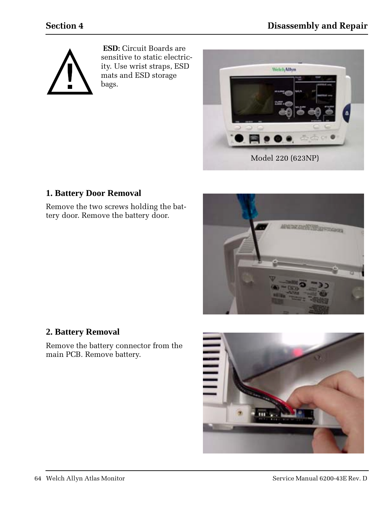

**ESD:** Circuit Boards are sensitive to static electricity. Use wrist straps, ESD mats and ESD storage bags.



## **1. Battery Door Removal**

Remove the two screws holding the battery door. Remove the battery door.



## **2. Battery Removal**

Remove the battery connector from the main PCB. Remove battery.

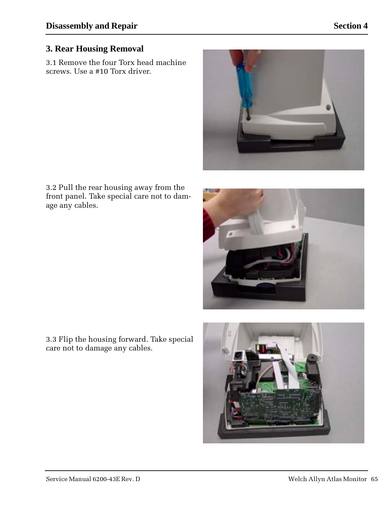### **3. Rear Housing Removal**

3.1 Remove the four Torx head machine screws. Use a #10 Torx driver.



3.2 Pull the rear housing away from the front panel. Take special care not to damage any cables.

![](_page_2_Picture_6.jpeg)

3.3 Flip the housing forward. Take special care not to damage any cables.

![](_page_2_Picture_8.jpeg)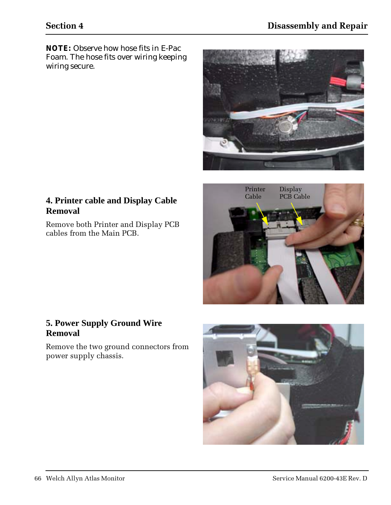*NOTE: Observe how hose fits in E-Pac Foam. The hose fits over wiring keeping wiring secure.*

![](_page_3_Picture_3.jpeg)

## **4. Printer cable and Display Cable Removal**

Remove both Printer and Display PCB cables from the Main PCB.

![](_page_3_Picture_6.jpeg)

## **5. Power Supply Ground Wire Removal**

Remove the two ground connectors from power supply chassis.

![](_page_3_Picture_9.jpeg)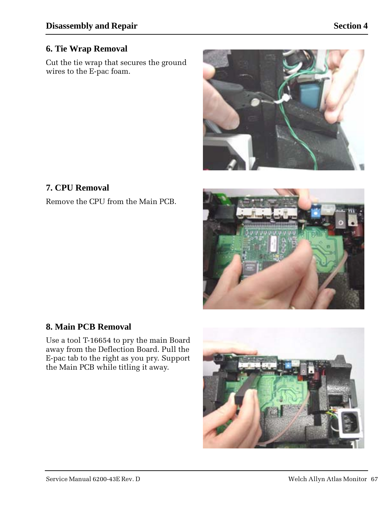## **6. Tie Wrap Removal**

Cut the tie wrap that secures the ground wires to the E-pac foam.

![](_page_4_Picture_4.jpeg)

# **7. CPU Removal**

Remove the CPU from the Main PCB.

![](_page_4_Picture_7.jpeg)

## **8. Main PCB Removal**

Use a tool T-16654 to pry the main Board away from the Deflection Board. Pull the E-pac tab to the right as you pry. Support the Main PCB while titling it away.

![](_page_4_Picture_10.jpeg)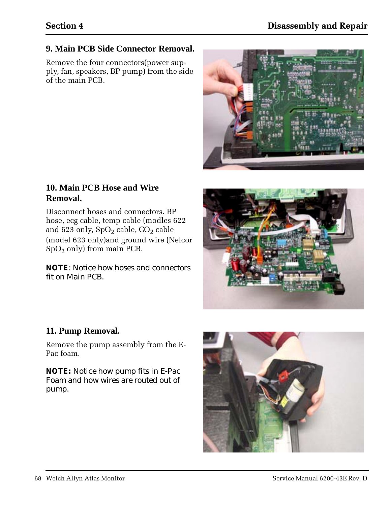## **9. Main PCB Side Connector Removal.**

Remove the four connectors(power supply, fan, speakers, BP pump) from the side of the main PCB.

![](_page_5_Picture_4.jpeg)

### **10. Main PCB Hose and Wire Removal.**

Disconnect hoses and connectors. BP hose, ecg cable, temp cable (modles 622 and 623 only,  $SpO<sub>2</sub>$  cable,  $CO<sub>2</sub>$  cable (model 623 only)and ground wire (Nelcor  $SpO<sub>2</sub>$  only) from main PCB.

#### *NOTE: Notice how hoses and connectors fit on Main PCB.*

![](_page_5_Picture_8.jpeg)

## **11. Pump Removal.**

Remove the pump assembly from the E-Pac foam.

*NOTE: Notice how pump fits in E-Pac Foam and how wires are routed out of pump.*

![](_page_5_Picture_12.jpeg)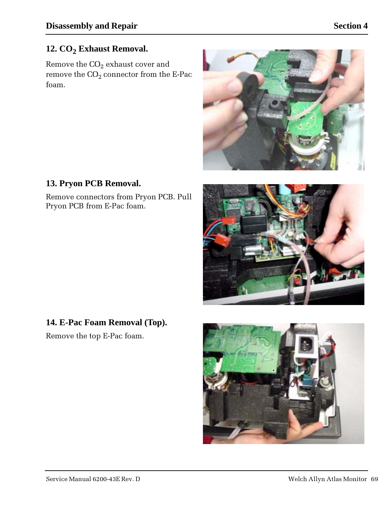# 12. CO<sub>2</sub> Exhaust Removal.

Remove the  $CO<sub>2</sub>$  exhaust cover and remove the  $\mathrm{CO}_2$  connector from the E-Pac foam.

![](_page_6_Picture_4.jpeg)

# **13. Pryon PCB Removal.**

Remove connectors from Pryon PCB. Pull Pryon PCB from E-Pac foam.

![](_page_6_Picture_7.jpeg)

# **14. E-Pac Foam Removal (Top).**

Remove the top E-Pac foam.

![](_page_6_Picture_10.jpeg)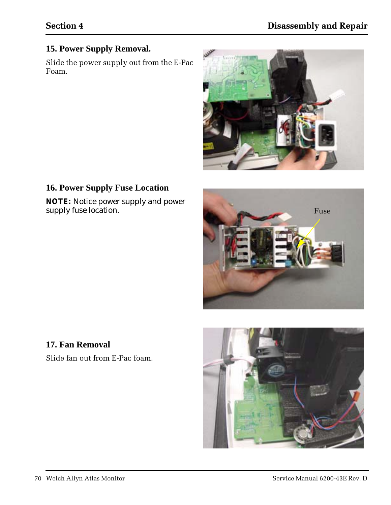## **15. Power Supply Removal.**

Slide the power supply out from the E-Pac Foam.

![](_page_7_Picture_4.jpeg)

## **16. Power Supply Fuse Location**

*NOTE: Notice power supply and power supply fuse location.*

![](_page_7_Picture_7.jpeg)

# **17. Fan Removal**

Slide fan out from E-Pac foam.

![](_page_7_Picture_10.jpeg)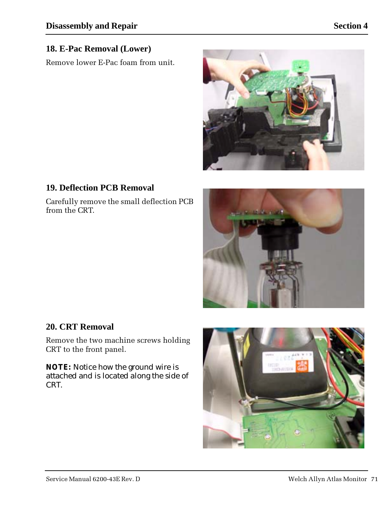## **18. E-Pac Removal (Lower)**

Remove lower E-Pac foam from unit.

![](_page_8_Picture_4.jpeg)

## **19. Deflection PCB Removal**

Carefully remove the small deflection PCB from the CRT.

![](_page_8_Picture_7.jpeg)

## **20. CRT Removal**

Remove the two machine screws holding CRT to the front panel.

*NOTE: Notice how the ground wire is attached and is located along the side of CRT.*

![](_page_8_Picture_11.jpeg)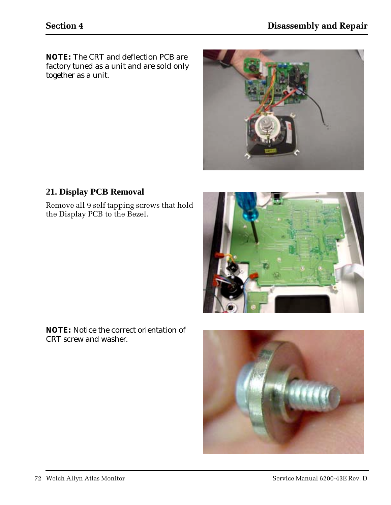*NOTE: The CRT and deflection PCB are factory tuned as a unit and are sold only together as a unit.*

![](_page_9_Picture_3.jpeg)

## **21. Display PCB Removal**

Remove all 9 self tapping screws that hold the Display PCB to the Bezel.

![](_page_9_Picture_6.jpeg)

*NOTE: Notice the correct orientation of CRT screw and washer.*

![](_page_9_Picture_8.jpeg)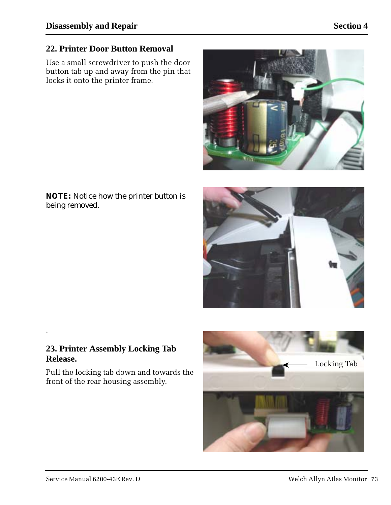# **22. Printer Door Button Removal**

Use a small screwdriver to push the door button tab up and away from the pin that locks it onto the printer frame.

![](_page_10_Picture_4.jpeg)

*NOTE: Notice how the printer button is being removed.*

![](_page_10_Picture_6.jpeg)

### **23. Printer Assembly Locking Tab Release.**

.

Pull the locking tab down and towards the front of the rear housing assembly.

![](_page_10_Picture_9.jpeg)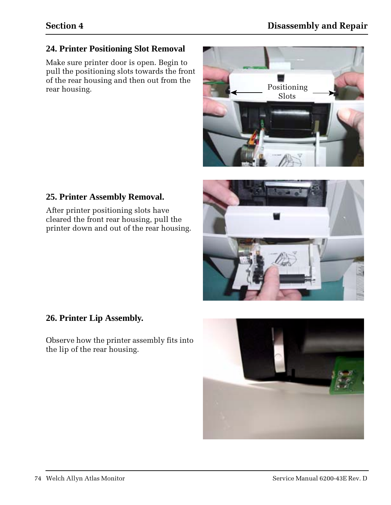## **24. Printer Positioning Slot Removal**

Make sure printer door is open. Begin to pull the positioning slots towards the front of the rear housing and then out from the rear housing.

![](_page_11_Picture_4.jpeg)

## **25. Printer Assembly Removal.**

After printer positioning slots have cleared the front rear housing, pull the printer down and out of the rear housing.

![](_page_11_Picture_7.jpeg)

### **26. Printer Lip Assembly.**

Observe how the printer assembly fits into the lip of the rear housing.

![](_page_11_Picture_10.jpeg)